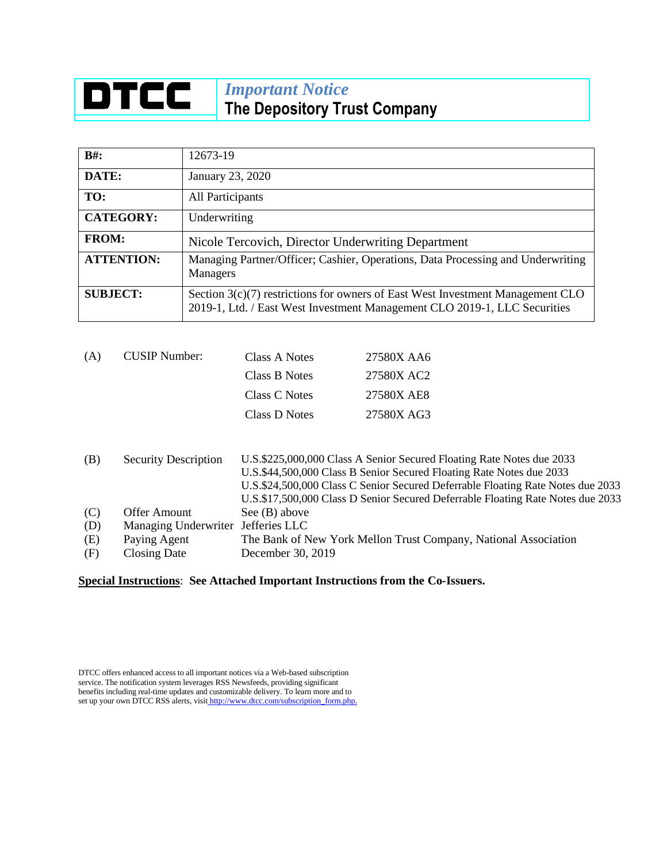## **DTCC** *Important Notice* **The Depository Trust Company**

| $B#$ :            | 12673-19                                                                                                                                                      |
|-------------------|---------------------------------------------------------------------------------------------------------------------------------------------------------------|
| DATE:             | January 23, 2020                                                                                                                                              |
| TO:               | All Participants                                                                                                                                              |
| <b>CATEGORY:</b>  | Underwriting                                                                                                                                                  |
| <b>FROM:</b>      | Nicole Tercovich, Director Underwriting Department                                                                                                            |
| <b>ATTENTION:</b> | Managing Partner/Officer; Cashier, Operations, Data Processing and Underwriting<br><b>Managers</b>                                                            |
| <b>SUBJECT:</b>   | Section $3(c)(7)$ restrictions for owners of East West Investment Management CLO<br>2019-1, Ltd. / East West Investment Management CLO 2019-1, LLC Securities |

| (A) | <b>CUSIP</b> Number: | Class A Notes | 27580X AA6 |
|-----|----------------------|---------------|------------|
|     |                      | Class B Notes | 27580X AC2 |
|     |                      | Class C Notes | 27580X AE8 |
|     |                      | Class D Notes | 27580X AG3 |
|     |                      |               |            |

| (B) | <b>Security Description</b>        | U.S.\$225,000,000 Class A Senior Secured Floating Rate Notes due 2033<br>U.S.\$44,500,000 Class B Senior Secured Floating Rate Notes due 2033<br>U.S.\$24,500,000 Class C Senior Secured Deferrable Floating Rate Notes due 2033<br>U.S.\$17,500,000 Class D Senior Secured Deferrable Floating Rate Notes due 2033 |
|-----|------------------------------------|---------------------------------------------------------------------------------------------------------------------------------------------------------------------------------------------------------------------------------------------------------------------------------------------------------------------|
| (C) | Offer Amount                       | See $(B)$ above                                                                                                                                                                                                                                                                                                     |
| (D) | Managing Underwriter Jefferies LLC |                                                                                                                                                                                                                                                                                                                     |
| (E) | Paying Agent                       | The Bank of New York Mellon Trust Company, National Association                                                                                                                                                                                                                                                     |
| (F) | Closing Date                       | December 30, 2019                                                                                                                                                                                                                                                                                                   |

## **Special Instructions**: **See Attached Important Instructions from the Co-Issuers.**

DTCC offers enhanced access to all important notices via a Web-based subscription service. The notification system leverages RSS Newsfeeds, providing significant benefits including real-time updates and customizable delivery. To learn more and to set up your own DTCC RSS alerts, visit [http://www.dtcc.com/subscription\\_form.php.](http://www.dtcc.com/subscription_form.php.)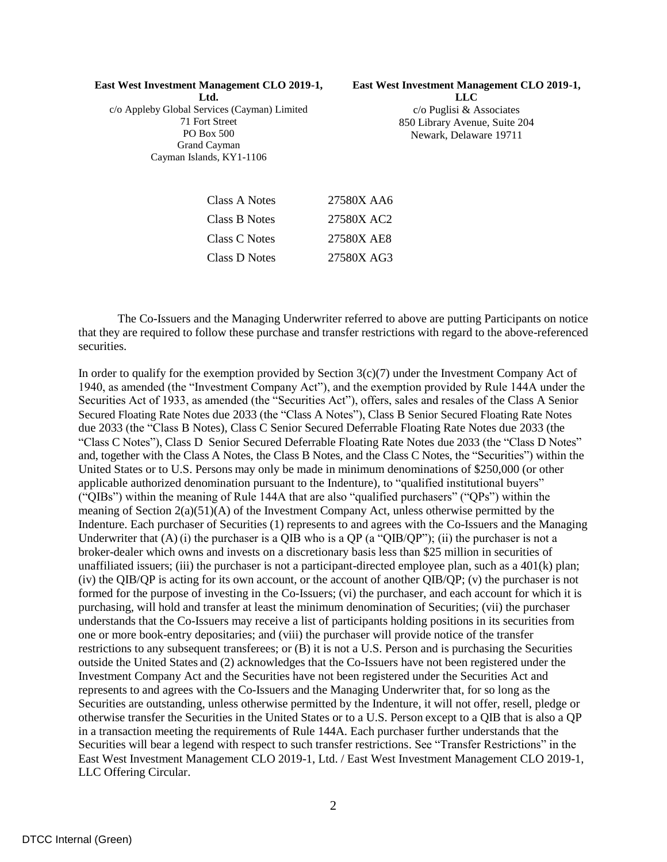## **East West Investment Management CLO 2019-1,**

**East West Investment Management CLO 2019-1,** 

**Ltd.** c/o Appleby Global Services (Cayman) Limited 71 Fort Street PO Box 500 Grand Cayman Cayman Islands, KY1-1106

**LLC** c/o Puglisi & Associates 850 Library Avenue, Suite 204 Newark, Delaware 19711

| 27580X AA6 |
|------------|
| 27580X AC2 |
| 27580X AE8 |
| 27580X AG3 |
|            |

The Co-Issuers and the Managing Underwriter referred to above are putting Participants on notice that they are required to follow these purchase and transfer restrictions with regard to the above-referenced securities.

In order to qualify for the exemption provided by Section  $3(c)(7)$  under the Investment Company Act of 1940, as amended (the "Investment Company Act"), and the exemption provided by Rule 144A under the Securities Act of 1933, as amended (the "Securities Act"), offers, sales and resales of the Class A Senior Secured Floating Rate Notes due 2033 (the "Class A Notes"), Class B Senior Secured Floating Rate Notes due 2033 (the "Class B Notes), Class C Senior Secured Deferrable Floating Rate Notes due 2033 (the "Class C Notes"), Class D Senior Secured Deferrable Floating Rate Notes due 2033 (the "Class D Notes" and, together with the Class A Notes, the Class B Notes, and the Class C Notes, the "Securities") within the United States or to U.S. Persons may only be made in minimum denominations of \$250,000 (or other applicable authorized denomination pursuant to the Indenture), to "qualified institutional buyers" ("QIBs") within the meaning of Rule 144A that are also "qualified purchasers" ("QPs") within the meaning of Section  $2(a)(51)(A)$  of the Investment Company Act, unless otherwise permitted by the Indenture. Each purchaser of Securities (1) represents to and agrees with the Co-Issuers and the Managing Underwriter that  $(A)$  (i) the purchaser is a QIB who is a QP (a "QIB/QP"); (ii) the purchaser is not a broker-dealer which owns and invests on a discretionary basis less than \$25 million in securities of unaffiliated issuers; (iii) the purchaser is not a participant-directed employee plan, such as a  $401(k)$  plan; (iv) the QIB/QP is acting for its own account, or the account of another QIB/QP; (v) the purchaser is not formed for the purpose of investing in the Co-Issuers; (vi) the purchaser, and each account for which it is purchasing, will hold and transfer at least the minimum denomination of Securities; (vii) the purchaser understands that the Co-Issuers may receive a list of participants holding positions in its securities from one or more book-entry depositaries; and (viii) the purchaser will provide notice of the transfer restrictions to any subsequent transferees; or (B) it is not a U.S. Person and is purchasing the Securities outside the United States and (2) acknowledges that the Co-Issuers have not been registered under the Investment Company Act and the Securities have not been registered under the Securities Act and represents to and agrees with the Co-Issuers and the Managing Underwriter that, for so long as the Securities are outstanding, unless otherwise permitted by the Indenture, it will not offer, resell, pledge or otherwise transfer the Securities in the United States or to a U.S. Person except to a QIB that is also a QP in a transaction meeting the requirements of Rule 144A. Each purchaser further understands that the Securities will bear a legend with respect to such transfer restrictions. See "Transfer Restrictions" in the East West Investment Management CLO 2019-1, Ltd. / East West Investment Management CLO 2019-1, LLC Offering Circular.